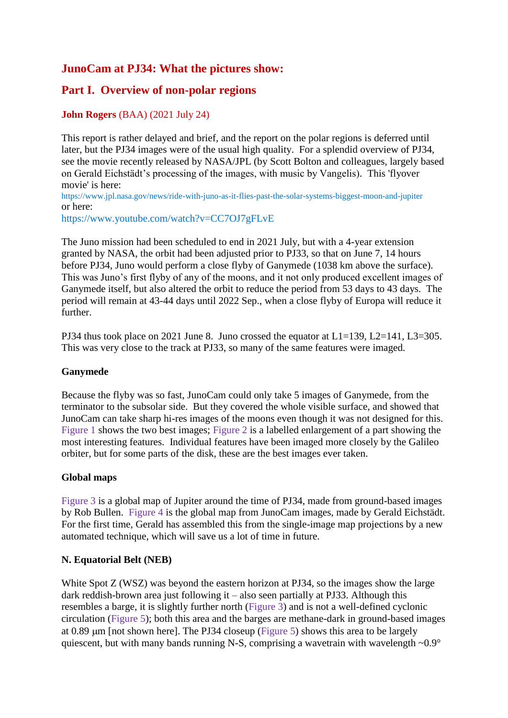# **JunoCam at PJ34: What the pictures show:**

## **Part I. Overview of non-polar regions**

## **John Rogers** (BAA) (2021 July 24)

This report is rather delayed and brief, and the report on the polar regions is deferred until later, but the PJ34 images were of the usual high quality. For a splendid overview of PJ34, see the movie recently released by NASA/JPL (by Scott Bolton and colleagues, largely based on Gerald Eichstädt's processing of the images, with music by Vangelis). This 'flyover movie' is here:

https://www.jpl.nasa.gov/news/ride-with-juno-as-it-flies-past-the-solar-systems-biggest-moon-and-jupiter or here:

https://www.youtube.com/watch?v=CC7OJ7gFLvE

The Juno mission had been scheduled to end in 2021 July, but with a 4-year extension granted by NASA, the orbit had been adjusted prior to PJ33, so that on June 7, 14 hours before PJ34, Juno would perform a close flyby of Ganymede (1038 km above the surface). This was Juno's first flyby of any of the moons, and it not only produced excellent images of Ganymede itself, but also altered the orbit to reduce the period from 53 days to 43 days. The period will remain at 43-44 days until 2022 Sep., when a close flyby of Europa will reduce it further.

PJ34 thus took place on 2021 June 8. Juno crossed the equator at L1=139, L2=141, L3=305. This was very close to the track at PJ33, so many of the same features were imaged.

#### **Ganymede**

Because the flyby was so fast, JunoCam could only take 5 images of Ganymede, from the terminator to the subsolar side. But they covered the whole visible surface, and showed that JunoCam can take sharp hi-res images of the moons even though it was not designed for this. Figure 1 shows the two best images; Figure 2 is a labelled enlargement of a part showing the most interesting features. Individual features have been imaged more closely by the Galileo orbiter, but for some parts of the disk, these are the best images ever taken.

#### **Global maps**

Figure 3 is a global map of Jupiter around the time of PJ34, made from ground-based images by Rob Bullen. Figure 4 is the global map from JunoCam images, made by Gerald Eichstädt. For the first time, Gerald has assembled this from the single-image map projections by a new automated technique, which will save us a lot of time in future.

#### **N. Equatorial Belt (NEB)**

White Spot Z (WSZ) was beyond the eastern horizon at PJ34, so the images show the large dark reddish-brown area just following it – also seen partially at PJ33. Although this resembles a barge, it is slightly further north (Figure 3) and is not a well-defined cyclonic circulation (Figure 5); both this area and the barges are methane-dark in ground-based images at  $0.89$  um [not shown here]. The PJ34 closeup (Figure 5) shows this area to be largely quiescent, but with many bands running N-S, comprising a wavetrain with wavelength  $\sim 0.9^\circ$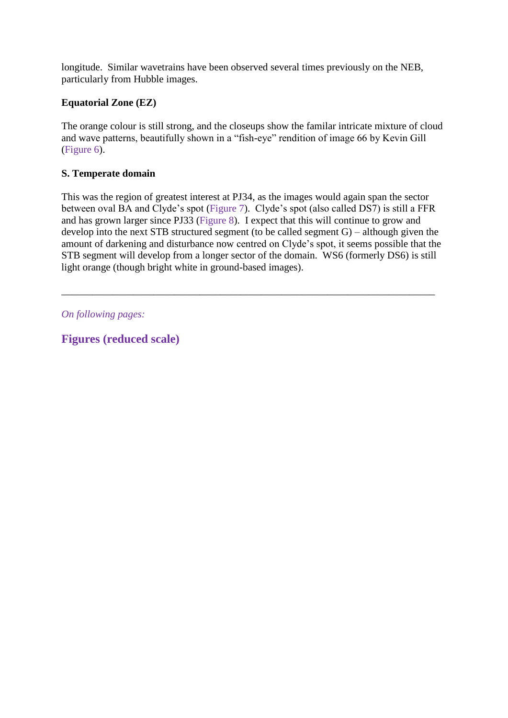longitude. Similar wavetrains have been observed several times previously on the NEB, particularly from Hubble images.

## **Equatorial Zone (EZ)**

The orange colour is still strong, and the closeups show the familar intricate mixture of cloud and wave patterns, beautifully shown in a "fish-eye" rendition of image 66 by Kevin Gill (Figure 6).

## **S. Temperate domain**

This was the region of greatest interest at PJ34, as the images would again span the sector between oval BA and Clyde's spot (Figure 7). Clyde's spot (also called DS7) is still a FFR and has grown larger since PJ33 (Figure 8). I expect that this will continue to grow and develop into the next STB structured segment (to be called segment G) – although given the amount of darkening and disturbance now centred on Clyde's spot, it seems possible that the STB segment will develop from a longer sector of the domain. WS6 (formerly DS6) is still light orange (though bright white in ground-based images).

\_\_\_\_\_\_\_\_\_\_\_\_\_\_\_\_\_\_\_\_\_\_\_\_\_\_\_\_\_\_\_\_\_\_\_\_\_\_\_\_\_\_\_\_\_\_\_\_\_\_\_\_\_\_\_\_\_\_\_\_\_\_\_\_\_\_\_\_\_\_\_\_\_

*On following pages:*

**Figures (reduced scale)**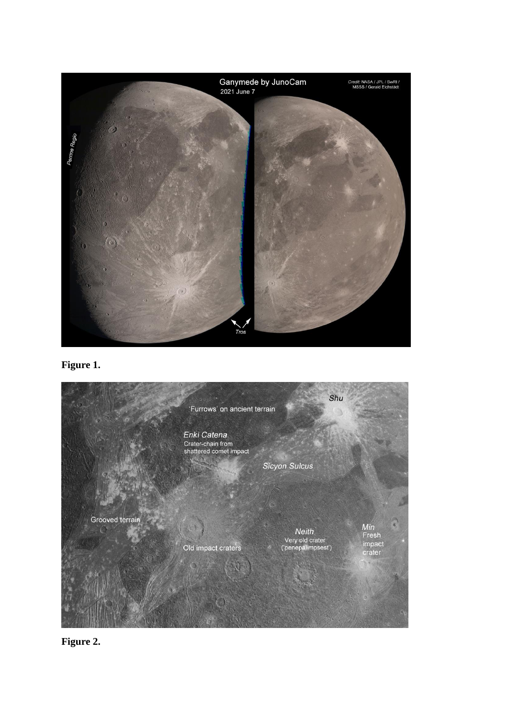

**Figure 1.**



**Figure 2.**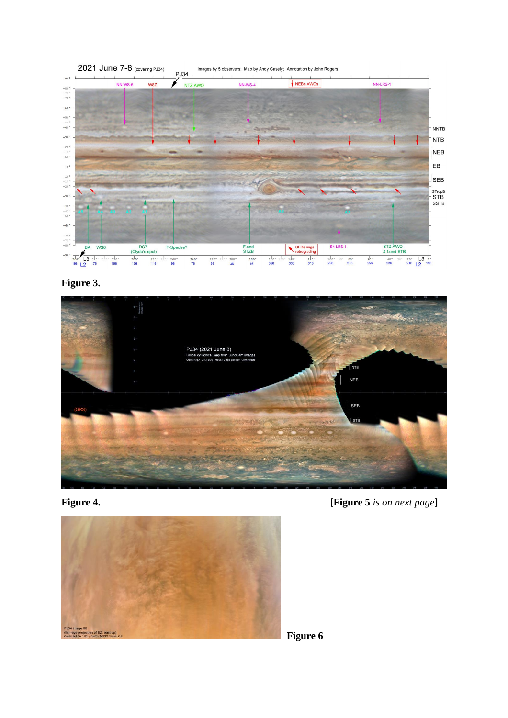

**Figure 3.**





**Figure 4. Figure 5** *is on next page***]**